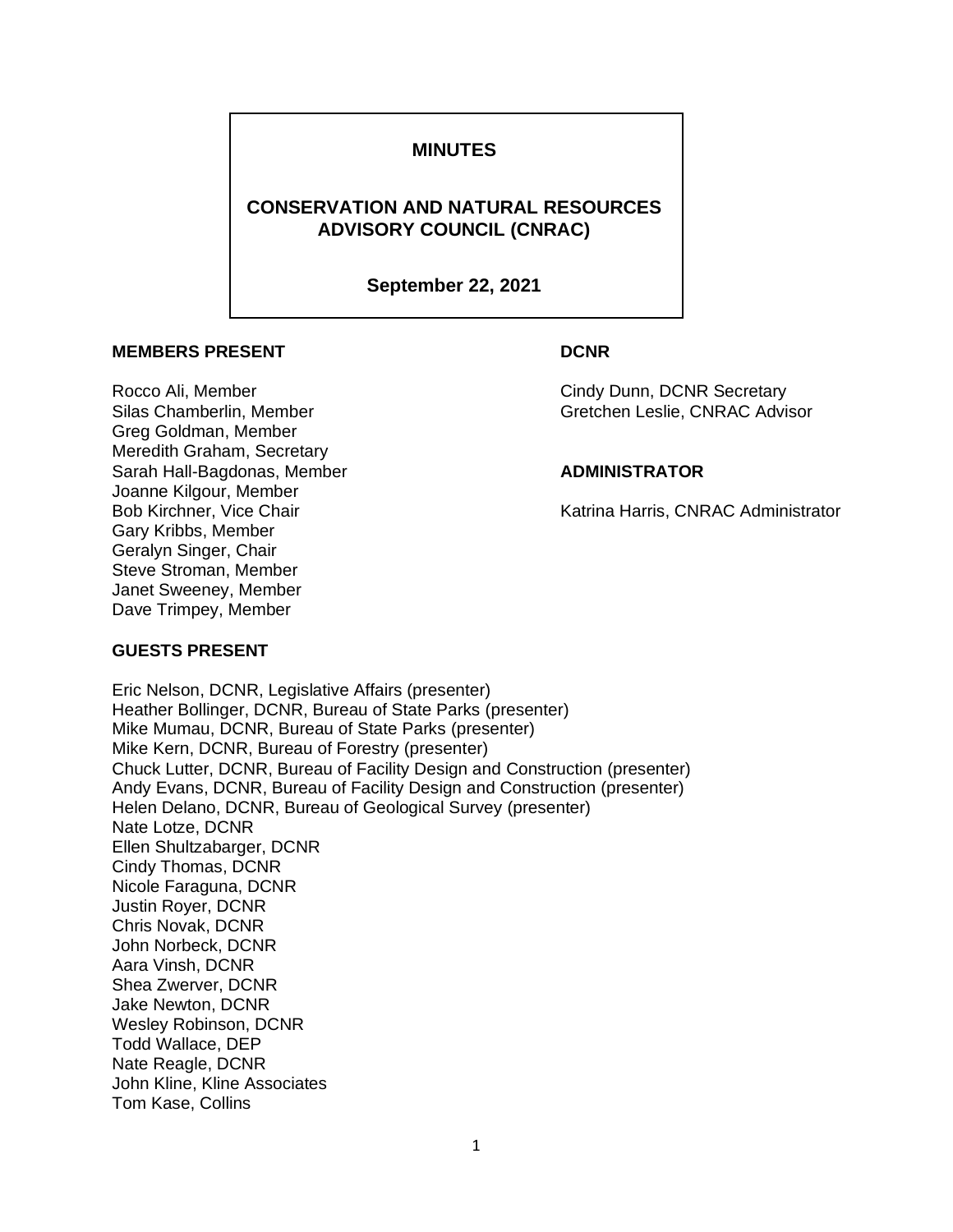# **MINUTES**

# **CONSERVATION AND NATURAL RESOURCES ADVISORY COUNCIL (CNRAC)**

## **September 22, 2021**

## **MEMBERS PRESENT CONDUCTS**

Greg Goldman, Member Meredith Graham, Secretary Sarah Hall-Bagdonas, Member **ADMINISTRATOR** Joanne Kilgour, Member Gary Kribbs, Member Geralyn Singer, Chair Steve Stroman, Member Janet Sweeney, Member Dave Trimpey, Member

Rocco Ali, Member Cindy Dunn, DCNR Secretary Silas Chamberlin, Member Gretchen Leslie, CNRAC Advisor

Bob Kirchner, Vice Chair National Assemblance Chair Katrina Harris, CNRAC Administrator

## **GUESTS PRESENT**

Eric Nelson, DCNR, Legislative Affairs (presenter) Heather Bollinger, DCNR, Bureau of State Parks (presenter) Mike Mumau, DCNR, Bureau of State Parks (presenter) Mike Kern, DCNR, Bureau of Forestry (presenter) Chuck Lutter, DCNR, Bureau of Facility Design and Construction (presenter) Andy Evans, DCNR, Bureau of Facility Design and Construction (presenter) Helen Delano, DCNR, Bureau of Geological Survey (presenter) Nate Lotze, DCNR Ellen Shultzabarger, DCNR Cindy Thomas, DCNR Nicole Faraguna, DCNR Justin Royer, DCNR Chris Novak, DCNR John Norbeck, DCNR Aara Vinsh, DCNR Shea Zwerver, DCNR Jake Newton, DCNR Wesley Robinson, DCNR Todd Wallace, DEP Nate Reagle, DCNR John Kline, Kline Associates Tom Kase, Collins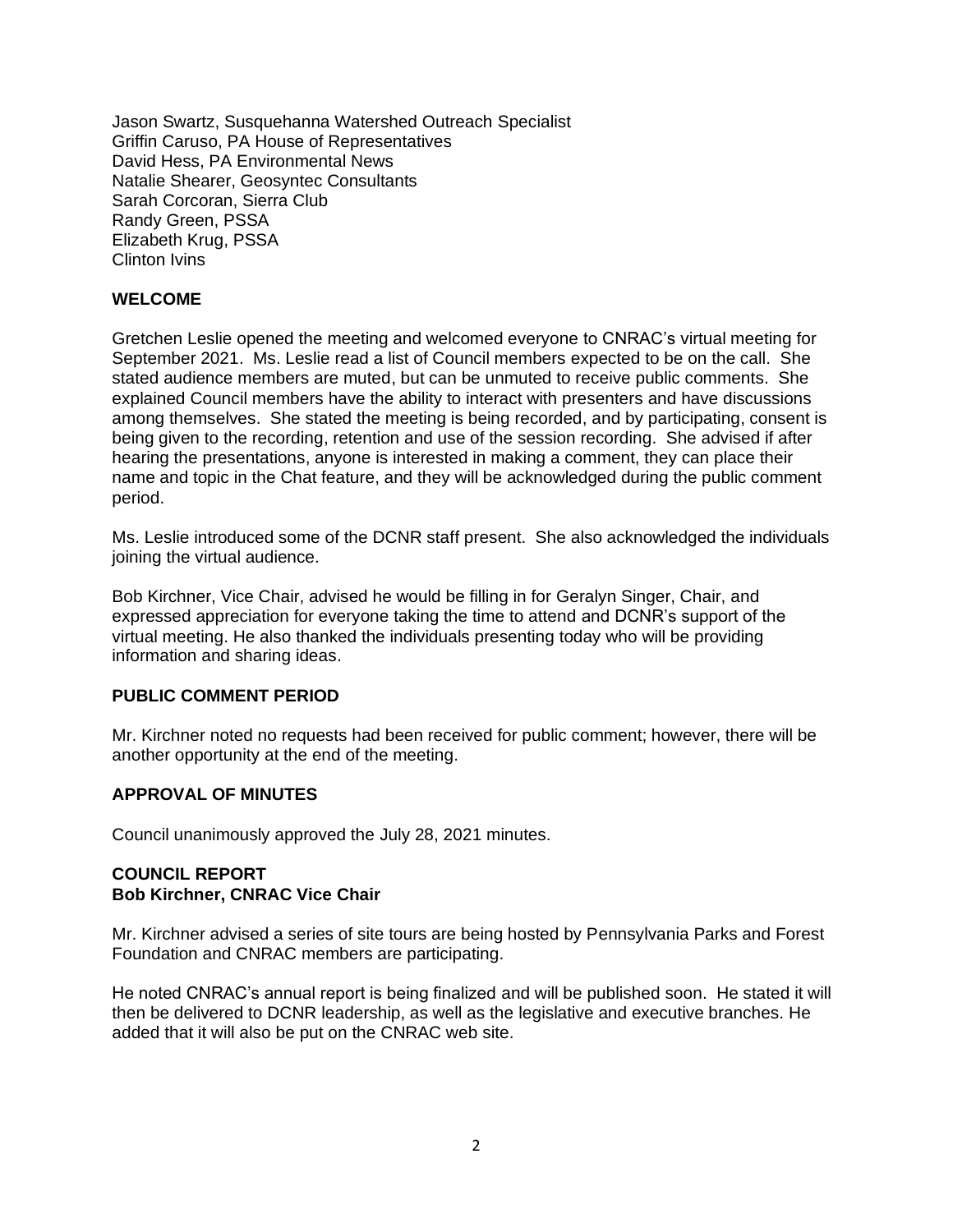Jason Swartz, Susquehanna Watershed Outreach Specialist Griffin Caruso, PA House of Representatives David Hess, PA Environmental News Natalie Shearer, Geosyntec Consultants Sarah Corcoran, Sierra Club Randy Green, PSSA Elizabeth Krug, PSSA Clinton Ivins

# **WELCOME**

Gretchen Leslie opened the meeting and welcomed everyone to CNRAC's virtual meeting for September 2021. Ms. Leslie read a list of Council members expected to be on the call. She stated audience members are muted, but can be unmuted to receive public comments. She explained Council members have the ability to interact with presenters and have discussions among themselves. She stated the meeting is being recorded, and by participating, consent is being given to the recording, retention and use of the session recording.She advised if after hearing the presentations, anyone is interested in making a comment, they can place their name and topic in the Chat feature, and they will be acknowledged during the public comment period.

Ms. Leslie introduced some of the DCNR staff present. She also acknowledged the individuals joining the virtual audience.

Bob Kirchner, Vice Chair, advised he would be filling in for Geralyn Singer, Chair, and expressed appreciation for everyone taking the time to attend and DCNR's support of the virtual meeting. He also thanked the individuals presenting today who will be providing information and sharing ideas.

### **PUBLIC COMMENT PERIOD**

Mr. Kirchner noted no requests had been received for public comment; however, there will be another opportunity at the end of the meeting.

# **APPROVAL OF MINUTES**

Council unanimously approved the July 28, 2021 minutes.

### **COUNCIL REPORT Bob Kirchner, CNRAC Vice Chair**

Mr. Kirchner advised a series of site tours are being hosted by Pennsylvania Parks and Forest Foundation and CNRAC members are participating.

He noted CNRAC's annual report is being finalized and will be published soon. He stated it will then be delivered to DCNR leadership, as well as the legislative and executive branches. He added that it will also be put on the CNRAC web site.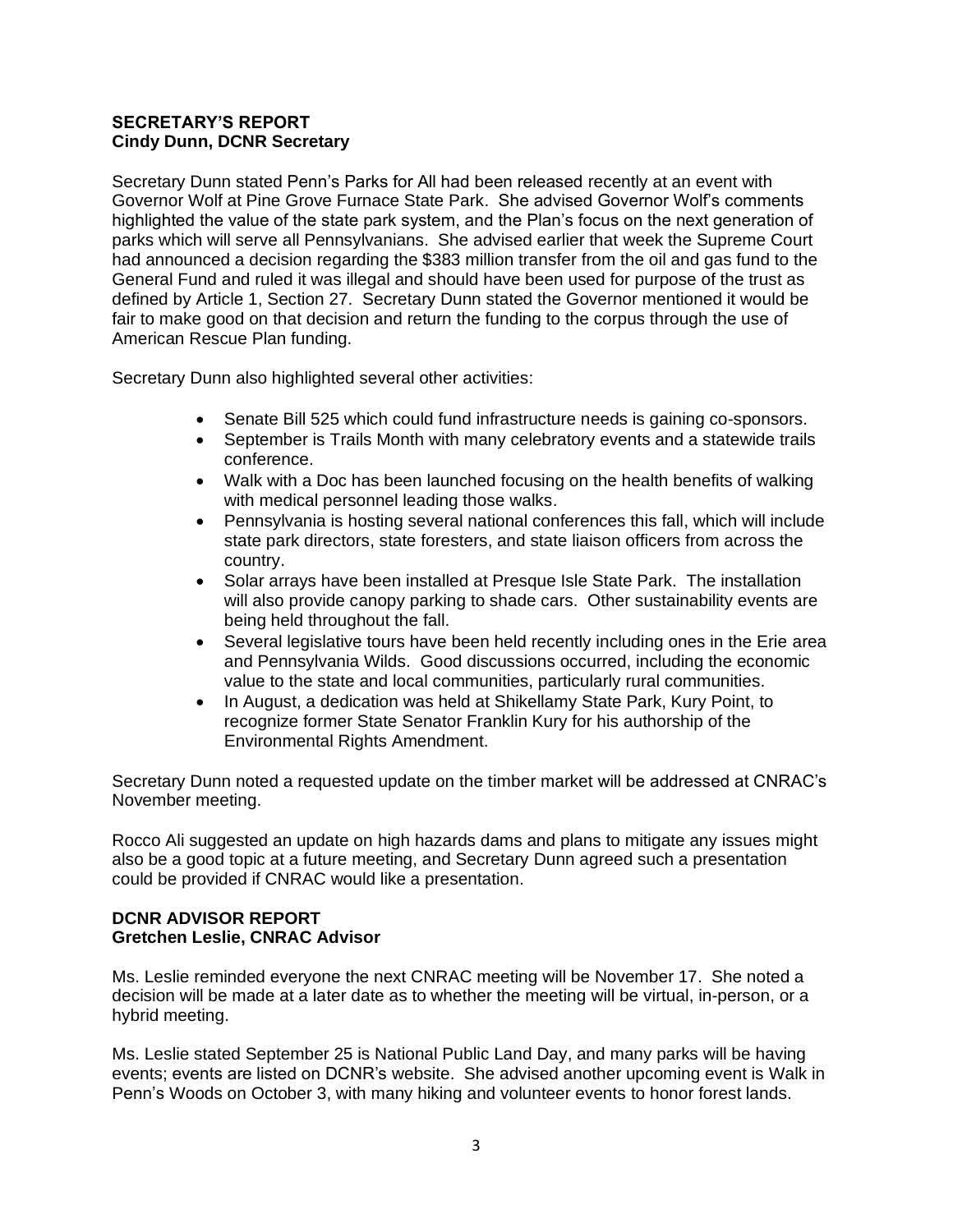## **SECRETARY'S REPORT Cindy Dunn, DCNR Secretary**

Secretary Dunn stated Penn's Parks for All had been released recently at an event with Governor Wolf at Pine Grove Furnace State Park. She advised Governor Wolf's comments highlighted the value of the state park system, and the Plan's focus on the next generation of parks which will serve all Pennsylvanians. She advised earlier that week the Supreme Court had announced a decision regarding the \$383 million transfer from the oil and gas fund to the General Fund and ruled it was illegal and should have been used for purpose of the trust as defined by Article 1, Section 27. Secretary Dunn stated the Governor mentioned it would be fair to make good on that decision and return the funding to the corpus through the use of American Rescue Plan funding.

Secretary Dunn also highlighted several other activities:

- Senate Bill 525 which could fund infrastructure needs is gaining co-sponsors.
- September is Trails Month with many celebratory events and a statewide trails conference.
- Walk with a Doc has been launched focusing on the health benefits of walking with medical personnel leading those walks.
- Pennsylvania is hosting several national conferences this fall, which will include state park directors, state foresters, and state liaison officers from across the country.
- Solar arrays have been installed at Presque Isle State Park. The installation will also provide canopy parking to shade cars. Other sustainability events are being held throughout the fall.
- Several legislative tours have been held recently including ones in the Erie area and Pennsylvania Wilds. Good discussions occurred, including the economic value to the state and local communities, particularly rural communities.
- In August, a dedication was held at Shikellamy State Park, Kury Point, to recognize former State Senator Franklin Kury for his authorship of the Environmental Rights Amendment.

Secretary Dunn noted a requested update on the timber market will be addressed at CNRAC's November meeting.

Rocco Ali suggested an update on high hazards dams and plans to mitigate any issues might also be a good topic at a future meeting, and Secretary Dunn agreed such a presentation could be provided if CNRAC would like a presentation.

## **DCNR ADVISOR REPORT Gretchen Leslie, CNRAC Advisor**

Ms. Leslie reminded everyone the next CNRAC meeting will be November 17. She noted a decision will be made at a later date as to whether the meeting will be virtual, in-person, or a hybrid meeting.

Ms. Leslie stated September 25 is National Public Land Day, and many parks will be having events; events are listed on DCNR's website. She advised another upcoming event is Walk in Penn's Woods on October 3, with many hiking and volunteer events to honor forest lands.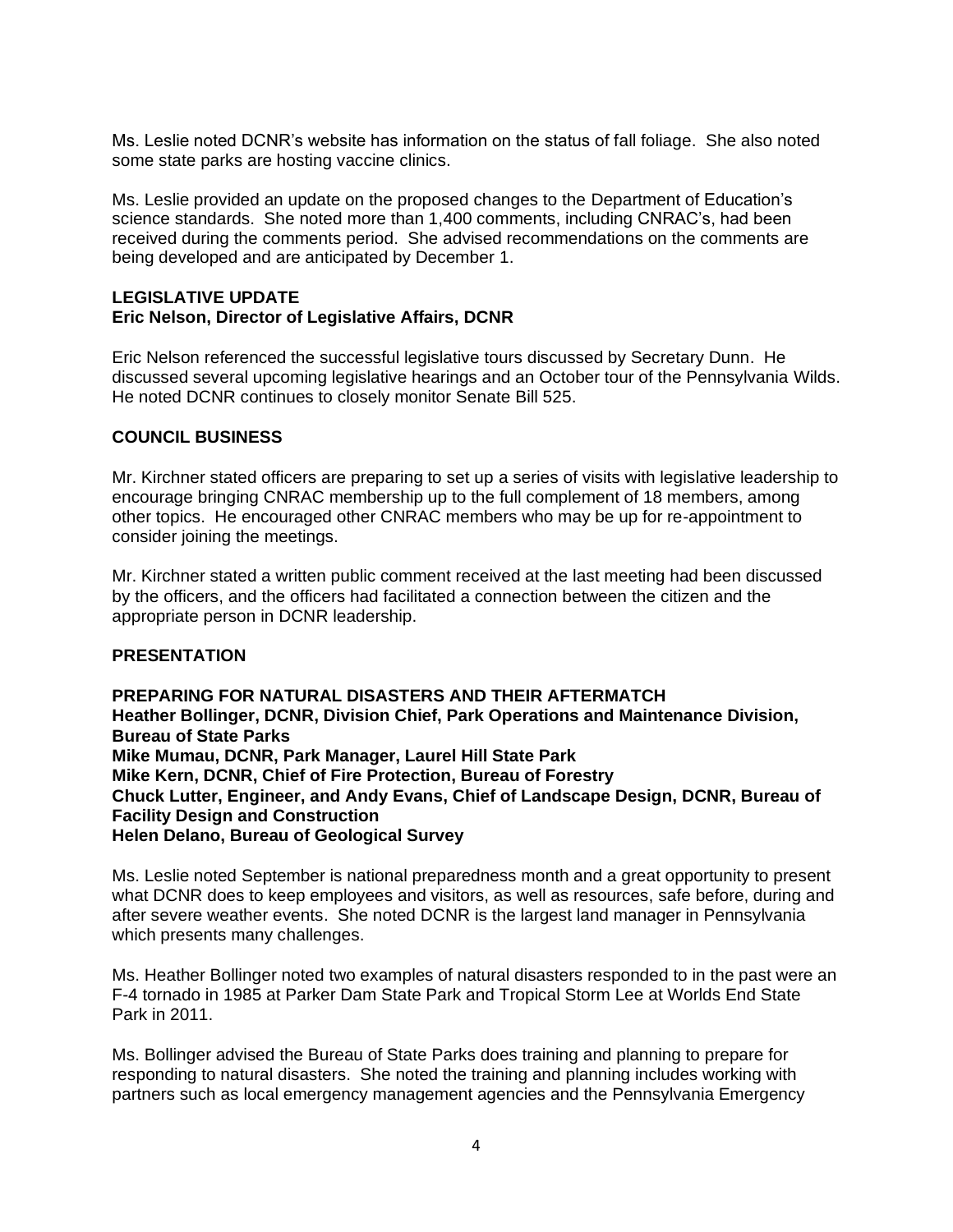Ms. Leslie noted DCNR's website has information on the status of fall foliage. She also noted some state parks are hosting vaccine clinics.

Ms. Leslie provided an update on the proposed changes to the Department of Education's science standards. She noted more than 1,400 comments, including CNRAC's, had been received during the comments period. She advised recommendations on the comments are being developed and are anticipated by December 1.

#### **LEGISLATIVE UPDATE Eric Nelson, Director of Legislative Affairs, DCNR**

Eric Nelson referenced the successful legislative tours discussed by Secretary Dunn. He discussed several upcoming legislative hearings and an October tour of the Pennsylvania Wilds. He noted DCNR continues to closely monitor Senate Bill 525.

## **COUNCIL BUSINESS**

Mr. Kirchner stated officers are preparing to set up a series of visits with legislative leadership to encourage bringing CNRAC membership up to the full complement of 18 members, among other topics. He encouraged other CNRAC members who may be up for re-appointment to consider joining the meetings.

Mr. Kirchner stated a written public comment received at the last meeting had been discussed by the officers, and the officers had facilitated a connection between the citizen and the appropriate person in DCNR leadership.

### **PRESENTATION**

**PREPARING FOR NATURAL DISASTERS AND THEIR AFTERMATCH Heather Bollinger, DCNR, Division Chief, Park Operations and Maintenance Division, Bureau of State Parks Mike Mumau, DCNR, Park Manager, Laurel Hill State Park Mike Kern, DCNR, Chief of Fire Protection, Bureau of Forestry Chuck Lutter, Engineer, and Andy Evans, Chief of Landscape Design, DCNR, Bureau of Facility Design and Construction Helen Delano, Bureau of Geological Survey**

Ms. Leslie noted September is national preparedness month and a great opportunity to present what DCNR does to keep employees and visitors, as well as resources, safe before, during and after severe weather events. She noted DCNR is the largest land manager in Pennsylvania which presents many challenges.

Ms. Heather Bollinger noted two examples of natural disasters responded to in the past were an F-4 tornado in 1985 at Parker Dam State Park and Tropical Storm Lee at Worlds End State Park in 2011.

Ms. Bollinger advised the Bureau of State Parks does training and planning to prepare for responding to natural disasters. She noted the training and planning includes working with partners such as local emergency management agencies and the Pennsylvania Emergency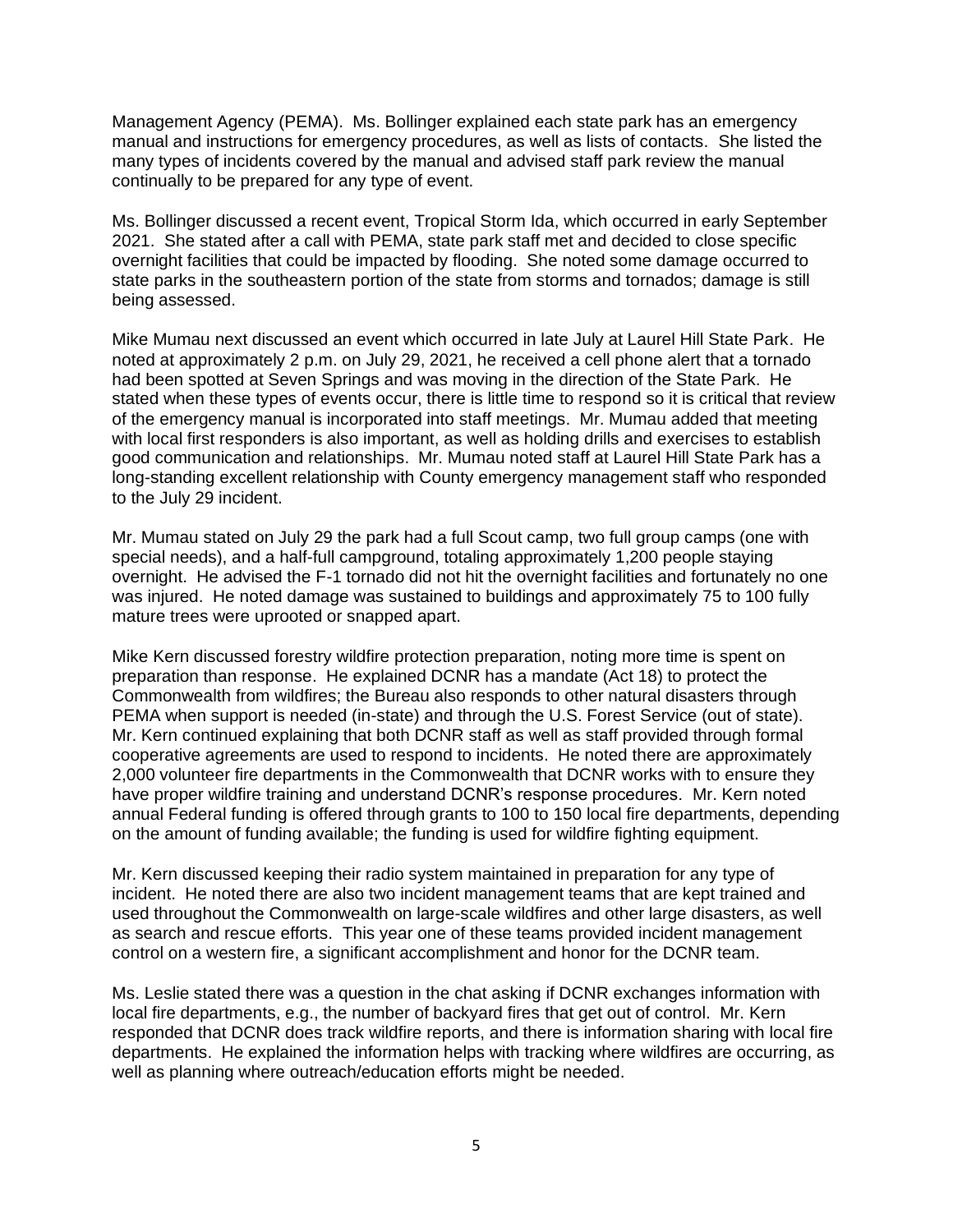Management Agency (PEMA). Ms. Bollinger explained each state park has an emergency manual and instructions for emergency procedures, as well as lists of contacts. She listed the many types of incidents covered by the manual and advised staff park review the manual continually to be prepared for any type of event.

Ms. Bollinger discussed a recent event, Tropical Storm Ida, which occurred in early September 2021. She stated after a call with PEMA, state park staff met and decided to close specific overnight facilities that could be impacted by flooding. She noted some damage occurred to state parks in the southeastern portion of the state from storms and tornados; damage is still being assessed.

Mike Mumau next discussed an event which occurred in late July at Laurel Hill State Park. He noted at approximately 2 p.m. on July 29, 2021, he received a cell phone alert that a tornado had been spotted at Seven Springs and was moving in the direction of the State Park. He stated when these types of events occur, there is little time to respond so it is critical that review of the emergency manual is incorporated into staff meetings. Mr. Mumau added that meeting with local first responders is also important, as well as holding drills and exercises to establish good communication and relationships. Mr. Mumau noted staff at Laurel Hill State Park has a long-standing excellent relationship with County emergency management staff who responded to the July 29 incident.

Mr. Mumau stated on July 29 the park had a full Scout camp, two full group camps (one with special needs), and a half-full campground, totaling approximately 1,200 people staying overnight. He advised the F-1 tornado did not hit the overnight facilities and fortunately no one was injured. He noted damage was sustained to buildings and approximately 75 to 100 fully mature trees were uprooted or snapped apart.

Mike Kern discussed forestry wildfire protection preparation, noting more time is spent on preparation than response. He explained DCNR has a mandate (Act 18) to protect the Commonwealth from wildfires; the Bureau also responds to other natural disasters through PEMA when support is needed (in-state) and through the U.S. Forest Service (out of state). Mr. Kern continued explaining that both DCNR staff as well as staff provided through formal cooperative agreements are used to respond to incidents. He noted there are approximately 2,000 volunteer fire departments in the Commonwealth that DCNR works with to ensure they have proper wildfire training and understand DCNR's response procedures. Mr. Kern noted annual Federal funding is offered through grants to 100 to 150 local fire departments, depending on the amount of funding available; the funding is used for wildfire fighting equipment.

Mr. Kern discussed keeping their radio system maintained in preparation for any type of incident. He noted there are also two incident management teams that are kept trained and used throughout the Commonwealth on large-scale wildfires and other large disasters, as well as search and rescue efforts. This year one of these teams provided incident management control on a western fire, a significant accomplishment and honor for the DCNR team.

Ms. Leslie stated there was a question in the chat asking if DCNR exchanges information with local fire departments, e.g., the number of backyard fires that get out of control. Mr. Kern responded that DCNR does track wildfire reports, and there is information sharing with local fire departments. He explained the information helps with tracking where wildfires are occurring, as well as planning where outreach/education efforts might be needed.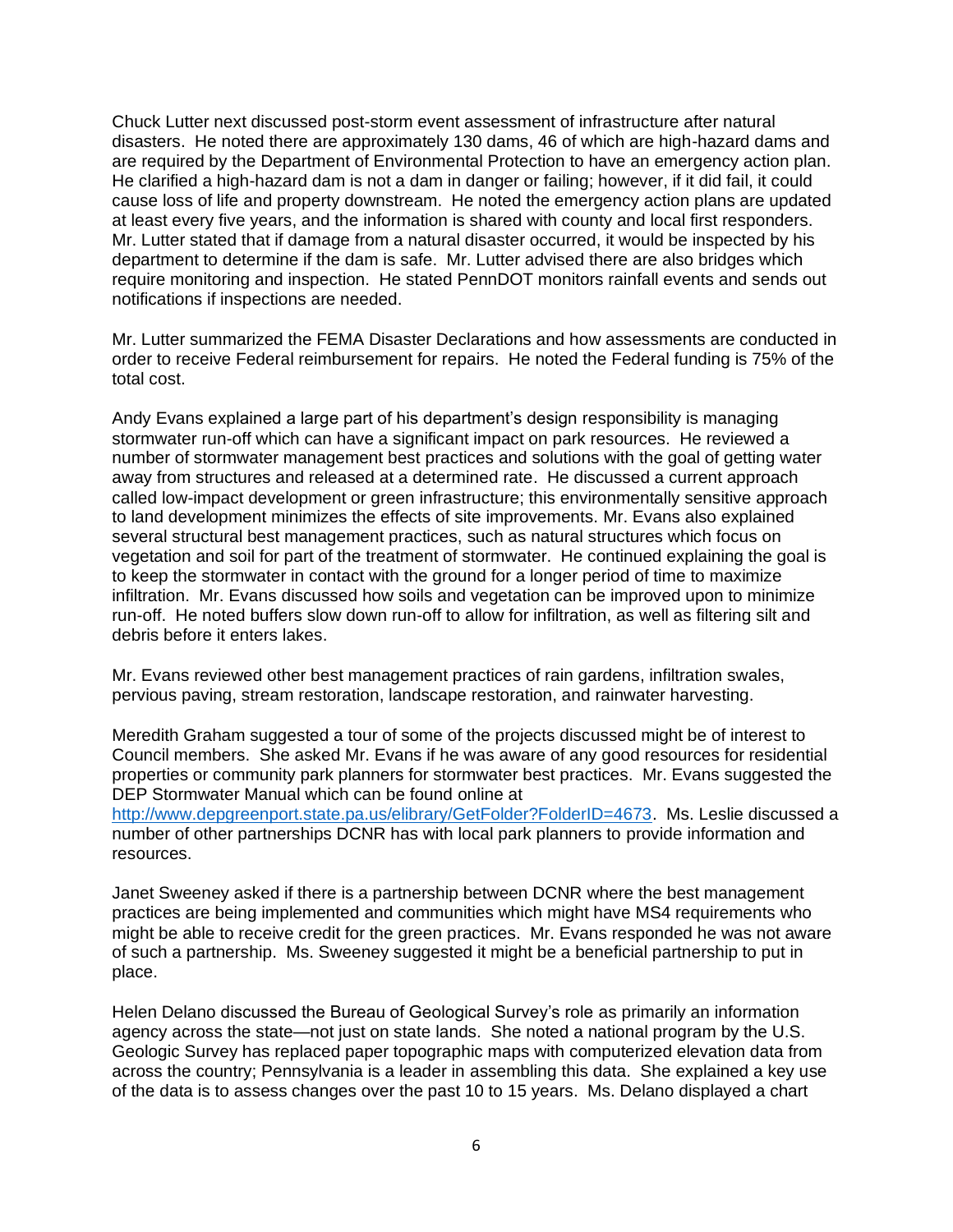Chuck Lutter next discussed post-storm event assessment of infrastructure after natural disasters. He noted there are approximately 130 dams, 46 of which are high-hazard dams and are required by the Department of Environmental Protection to have an emergency action plan. He clarified a high-hazard dam is not a dam in danger or failing; however, if it did fail, it could cause loss of life and property downstream. He noted the emergency action plans are updated at least every five years, and the information is shared with county and local first responders. Mr. Lutter stated that if damage from a natural disaster occurred, it would be inspected by his department to determine if the dam is safe. Mr. Lutter advised there are also bridges which require monitoring and inspection. He stated PennDOT monitors rainfall events and sends out notifications if inspections are needed.

Mr. Lutter summarized the FEMA Disaster Declarations and how assessments are conducted in order to receive Federal reimbursement for repairs. He noted the Federal funding is 75% of the total cost.

Andy Evans explained a large part of his department's design responsibility is managing stormwater run-off which can have a significant impact on park resources. He reviewed a number of stormwater management best practices and solutions with the goal of getting water away from structures and released at a determined rate. He discussed a current approach called low-impact development or green infrastructure; this environmentally sensitive approach to land development minimizes the effects of site improvements. Mr. Evans also explained several structural best management practices, such as natural structures which focus on vegetation and soil for part of the treatment of stormwater. He continued explaining the goal is to keep the stormwater in contact with the ground for a longer period of time to maximize infiltration. Mr. Evans discussed how soils and vegetation can be improved upon to minimize run-off. He noted buffers slow down run-off to allow for infiltration, as well as filtering silt and debris before it enters lakes.

Mr. Evans reviewed other best management practices of rain gardens, infiltration swales, pervious paving, stream restoration, landscape restoration, and rainwater harvesting.

Meredith Graham suggested a tour of some of the projects discussed might be of interest to Council members. She asked Mr. Evans if he was aware of any good resources for residential properties or community park planners for stormwater best practices. Mr. Evans suggested the DEP Stormwater Manual which can be found online at

[http://www.depgreenport.state.pa.us/elibrary/GetFolder?FolderID=4673.](http://www.depgreenport.state.pa.us/elibrary/GetFolder?FolderID=4673) Ms. Leslie discussed a number of other partnerships DCNR has with local park planners to provide information and resources.

Janet Sweeney asked if there is a partnership between DCNR where the best management practices are being implemented and communities which might have MS4 requirements who might be able to receive credit for the green practices. Mr. Evans responded he was not aware of such a partnership. Ms. Sweeney suggested it might be a beneficial partnership to put in place.

Helen Delano discussed the Bureau of Geological Survey's role as primarily an information agency across the state—not just on state lands. She noted a national program by the U.S. Geologic Survey has replaced paper topographic maps with computerized elevation data from across the country; Pennsylvania is a leader in assembling this data. She explained a key use of the data is to assess changes over the past 10 to 15 years. Ms. Delano displayed a chart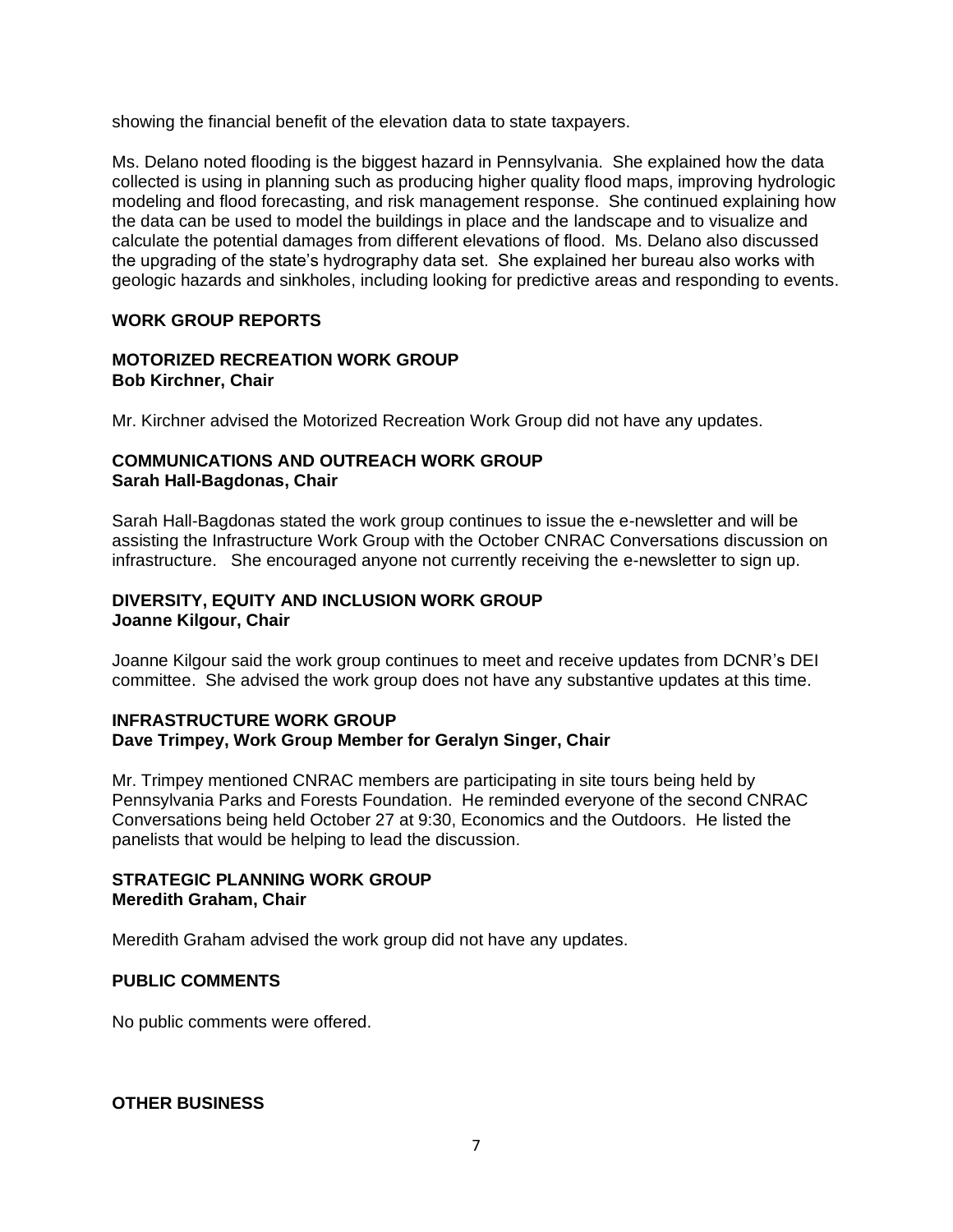showing the financial benefit of the elevation data to state taxpayers.

Ms. Delano noted flooding is the biggest hazard in Pennsylvania. She explained how the data collected is using in planning such as producing higher quality flood maps, improving hydrologic modeling and flood forecasting, and risk management response. She continued explaining how the data can be used to model the buildings in place and the landscape and to visualize and calculate the potential damages from different elevations of flood. Ms. Delano also discussed the upgrading of the state's hydrography data set. She explained her bureau also works with geologic hazards and sinkholes, including looking for predictive areas and responding to events.

# **WORK GROUP REPORTS**

## **MOTORIZED RECREATION WORK GROUP Bob Kirchner, Chair**

Mr. Kirchner advised the Motorized Recreation Work Group did not have any updates.

## **COMMUNICATIONS AND OUTREACH WORK GROUP Sarah Hall-Bagdonas, Chair**

Sarah Hall-Bagdonas stated the work group continues to issue the e-newsletter and will be assisting the Infrastructure Work Group with the October CNRAC Conversations discussion on infrastructure. She encouraged anyone not currently receiving the e-newsletter to sign up.

## **DIVERSITY, EQUITY AND INCLUSION WORK GROUP Joanne Kilgour, Chair**

Joanne Kilgour said the work group continues to meet and receive updates from DCNR's DEI committee. She advised the work group does not have any substantive updates at this time.

### **INFRASTRUCTURE WORK GROUP Dave Trimpey, Work Group Member for Geralyn Singer, Chair**

Mr. Trimpey mentioned CNRAC members are participating in site tours being held by Pennsylvania Parks and Forests Foundation. He reminded everyone of the second CNRAC Conversations being held October 27 at 9:30, Economics and the Outdoors. He listed the panelists that would be helping to lead the discussion.

## **STRATEGIC PLANNING WORK GROUP Meredith Graham, Chair**

Meredith Graham advised the work group did not have any updates.

### **PUBLIC COMMENTS**

No public comments were offered.

**OTHER BUSINESS**